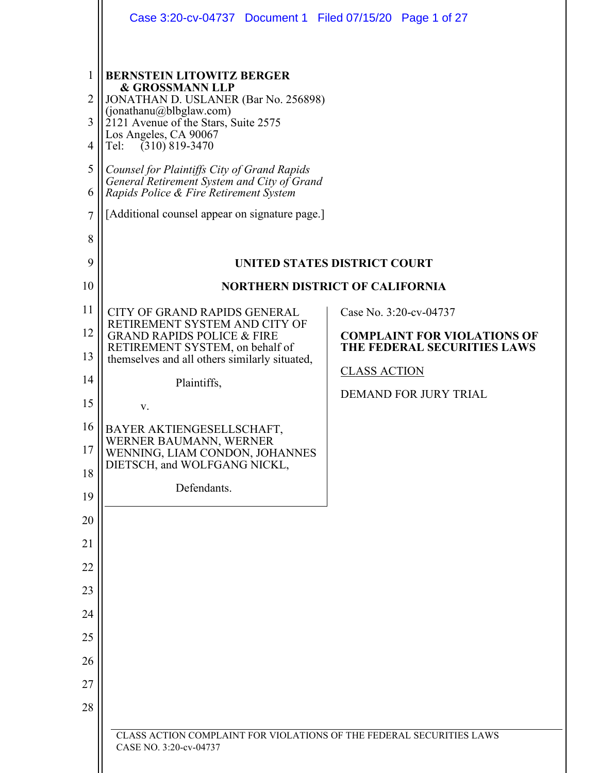|                                              | Case 3:20-cv-04737 Document 1 Filed 07/15/20 Page 1 of 27                                                                                                                                                                                                                                                                                                                                                                |                                                                   |  |  |  |  |
|----------------------------------------------|--------------------------------------------------------------------------------------------------------------------------------------------------------------------------------------------------------------------------------------------------------------------------------------------------------------------------------------------------------------------------------------------------------------------------|-------------------------------------------------------------------|--|--|--|--|
| 1<br>$\overline{2}$<br>3<br>4<br>5<br>6<br>7 | <b>BERNSTEIN LITOWITZ BERGER</b><br><b>&amp; GROSSMANN LLP</b><br>JONATHAN D. USLANER (Bar No. 256898)<br>(jonathanu@blbglaw.com)<br>2121 Avenue of the Stars, Suite 2575<br>Los Angeles, CA 90067<br>$(310)$ 819-3470<br>Tel:<br>Counsel for Plaintiffs City of Grand Rapids<br>General Retirement System and City of Grand<br>Rapids Police & Fire Retirement System<br>[Additional counsel appear on signature page.] |                                                                   |  |  |  |  |
| 8<br>9                                       |                                                                                                                                                                                                                                                                                                                                                                                                                          |                                                                   |  |  |  |  |
| 10                                           | UNITED STATES DISTRICT COURT<br><b>NORTHERN DISTRICT OF CALIFORNIA</b>                                                                                                                                                                                                                                                                                                                                                   |                                                                   |  |  |  |  |
| 11                                           | CITY OF GRAND RAPIDS GENERAL                                                                                                                                                                                                                                                                                                                                                                                             | Case No. 3:20-cv-04737                                            |  |  |  |  |
| 12                                           | RETIREMENT SYSTEM AND CITY OF<br><b>GRAND RAPIDS POLICE &amp; FIRE</b><br>RETIREMENT SYSTEM, on behalf of                                                                                                                                                                                                                                                                                                                | <b>COMPLAINT FOR VIOLATIONS OF</b><br>THE FEDERAL SECURITIES LAWS |  |  |  |  |
| 13                                           | themselves and all others similarly situated,                                                                                                                                                                                                                                                                                                                                                                            | <b>CLASS ACTION</b>                                               |  |  |  |  |
| 14<br>15                                     | Plaintiffs,                                                                                                                                                                                                                                                                                                                                                                                                              | <b>DEMAND FOR JURY TRIAL</b>                                      |  |  |  |  |
| 16                                           | V.<br>BAYER AKTIENGESELLSCHAFT,                                                                                                                                                                                                                                                                                                                                                                                          |                                                                   |  |  |  |  |
| 17                                           | WERNER BAUMANN, WERNER<br>WENNING, LIAM CONDON, JOHANNES                                                                                                                                                                                                                                                                                                                                                                 |                                                                   |  |  |  |  |
| 18                                           | DIETSCH, and WOLFGANG NICKL,                                                                                                                                                                                                                                                                                                                                                                                             |                                                                   |  |  |  |  |
| 19                                           | Defendants.                                                                                                                                                                                                                                                                                                                                                                                                              |                                                                   |  |  |  |  |
| 20                                           |                                                                                                                                                                                                                                                                                                                                                                                                                          |                                                                   |  |  |  |  |
| 21                                           |                                                                                                                                                                                                                                                                                                                                                                                                                          |                                                                   |  |  |  |  |
| 22<br>23                                     |                                                                                                                                                                                                                                                                                                                                                                                                                          |                                                                   |  |  |  |  |
| 24                                           |                                                                                                                                                                                                                                                                                                                                                                                                                          |                                                                   |  |  |  |  |
| 25                                           |                                                                                                                                                                                                                                                                                                                                                                                                                          |                                                                   |  |  |  |  |
| 26                                           |                                                                                                                                                                                                                                                                                                                                                                                                                          |                                                                   |  |  |  |  |
| 27                                           |                                                                                                                                                                                                                                                                                                                                                                                                                          |                                                                   |  |  |  |  |
| 28                                           |                                                                                                                                                                                                                                                                                                                                                                                                                          |                                                                   |  |  |  |  |
|                                              | CLASS ACTION COMPLAINT FOR VIOLATIONS OF THE FEDERAL SECURITIES LAWS<br>CASE NO. 3:20-cv-04737                                                                                                                                                                                                                                                                                                                           |                                                                   |  |  |  |  |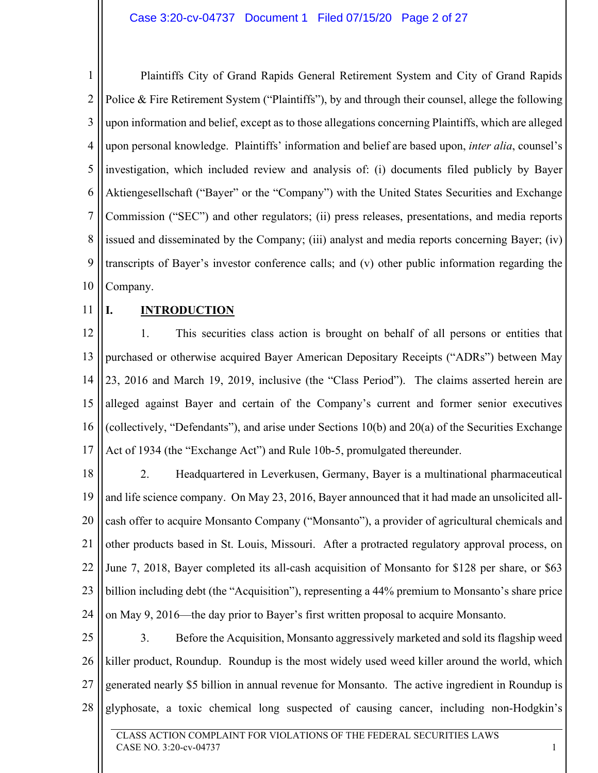1 2 3 4 5 6 7 8 9 10 Plaintiffs City of Grand Rapids General Retirement System and City of Grand Rapids Police & Fire Retirement System ("Plaintiffs"), by and through their counsel, allege the following upon information and belief, except as to those allegations concerning Plaintiffs, which are alleged upon personal knowledge. Plaintiffs' information and belief are based upon, *inter alia*, counsel's investigation, which included review and analysis of: (i) documents filed publicly by Bayer Aktiengesellschaft ("Bayer" or the "Company") with the United States Securities and Exchange Commission ("SEC") and other regulators; (ii) press releases, presentations, and media reports issued and disseminated by the Company; (iii) analyst and media reports concerning Bayer; (iv) transcripts of Bayer's investor conference calls; and (v) other public information regarding the Company.

11

## **I. INTRODUCTION**

12 13 14 15 16 17 1. This securities class action is brought on behalf of all persons or entities that purchased or otherwise acquired Bayer American Depositary Receipts ("ADRs") between May 23, 2016 and March 19, 2019, inclusive (the "Class Period"). The claims asserted herein are alleged against Bayer and certain of the Company's current and former senior executives (collectively, "Defendants"), and arise under Sections 10(b) and 20(a) of the Securities Exchange Act of 1934 (the "Exchange Act") and Rule 10b-5, promulgated thereunder.

18 19 20 21 22 23 24 2. Headquartered in Leverkusen, Germany, Bayer is a multinational pharmaceutical and life science company. On May 23, 2016, Bayer announced that it had made an unsolicited allcash offer to acquire Monsanto Company ("Monsanto"), a provider of agricultural chemicals and other products based in St. Louis, Missouri. After a protracted regulatory approval process, on June 7, 2018, Bayer completed its all-cash acquisition of Monsanto for \$128 per share, or \$63 billion including debt (the "Acquisition"), representing a 44% premium to Monsanto's share price on May 9, 2016—the day prior to Bayer's first written proposal to acquire Monsanto.

25 26 27 28 3. Before the Acquisition, Monsanto aggressively marketed and sold its flagship weed killer product, Roundup. Roundup is the most widely used weed killer around the world, which generated nearly \$5 billion in annual revenue for Monsanto. The active ingredient in Roundup is glyphosate, a toxic chemical long suspected of causing cancer, including non-Hodgkin's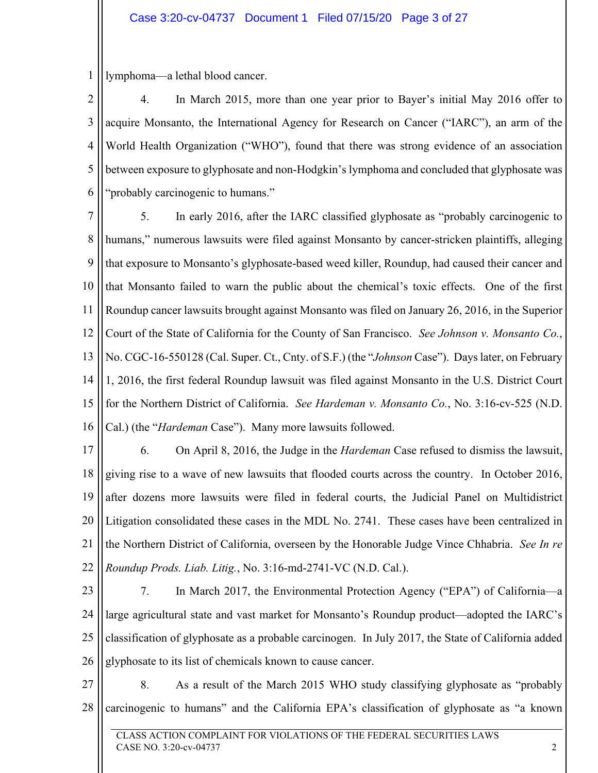## Case 3:20-cv-04737 Document 1 Filed 07/15/20 Page 3 of 27

1 lymphoma—a lethal blood cancer.

2 3 4 5 6 4. In March 2015, more than one year prior to Bayer's initial May 2016 offer to acquire Monsanto, the International Agency for Research on Cancer ("IARC"), an arm of the World Health Organization ("WHO"), found that there was strong evidence of an association between exposure to glyphosate and non-Hodgkin's lymphoma and concluded that glyphosate was "probably carcinogenic to humans."

7 8 9 10 11 12 13 14 15 16 5. In early 2016, after the IARC classified glyphosate as "probably carcinogenic to humans," numerous lawsuits were filed against Monsanto by cancer-stricken plaintiffs, alleging that exposure to Monsanto's glyphosate-based weed killer, Roundup, had caused their cancer and that Monsanto failed to warn the public about the chemical's toxic effects. One of the first Roundup cancer lawsuits brought against Monsanto was filed on January 26, 2016, in the Superior Court of the State of California for the County of San Francisco. *See Johnson v. Monsanto Co.*, No. CGC-16-550128 (Cal. Super. Ct., Cnty. of S.F.) (the "*Johnson* Case"). Days later, on February 1, 2016, the first federal Roundup lawsuit was filed against Monsanto in the U.S. District Court for the Northern District of California. *See Hardeman v. Monsanto Co.*, No. 3:16-cv-525 (N.D. Cal.) (the "*Hardeman* Case"). Many more lawsuits followed.

17 18 19 20 21 22 6. On April 8, 2016, the Judge in the *Hardeman* Case refused to dismiss the lawsuit, giving rise to a wave of new lawsuits that flooded courts across the country. In October 2016, after dozens more lawsuits were filed in federal courts, the Judicial Panel on Multidistrict Litigation consolidated these cases in the MDL No. 2741. These cases have been centralized in the Northern District of California, overseen by the Honorable Judge Vince Chhabria. *See In re Roundup Prods. Liab. Litig.*, No. 3:16-md-2741-VC (N.D. Cal.).

23

24 25 26 7. In March 2017, the Environmental Protection Agency ("EPA") of California—a large agricultural state and vast market for Monsanto's Roundup product—adopted the IARC's classification of glyphosate as a probable carcinogen. In July 2017, the State of California added glyphosate to its list of chemicals known to cause cancer.

27 28 8. As a result of the March 2015 WHO study classifying glyphosate as "probably carcinogenic to humans" and the California EPA's classification of glyphosate as "a known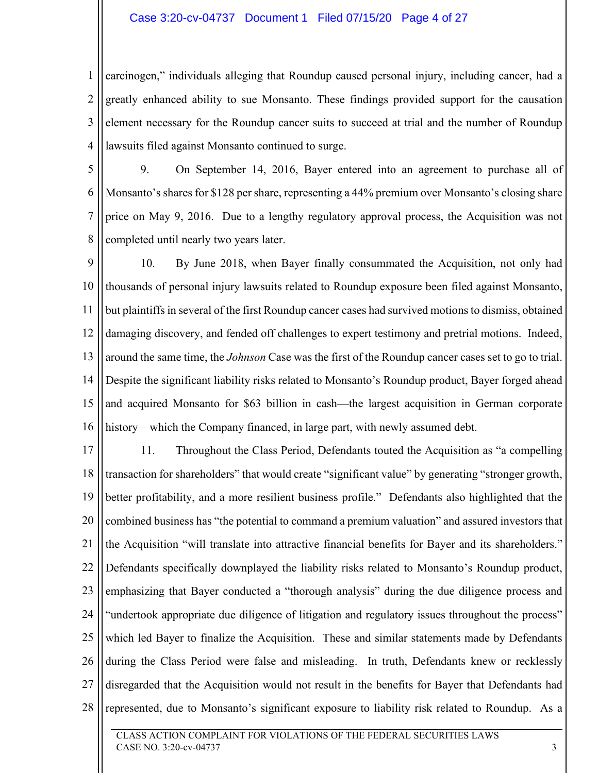#### Case 3:20-cv-04737 Document 1 Filed 07/15/20 Page 4 of 27

1 2 3 4 carcinogen," individuals alleging that Roundup caused personal injury, including cancer, had a greatly enhanced ability to sue Monsanto. These findings provided support for the causation element necessary for the Roundup cancer suits to succeed at trial and the number of Roundup lawsuits filed against Monsanto continued to surge.

5

6

7

8

9. On September 14, 2016, Bayer entered into an agreement to purchase all of Monsanto's shares for \$128 per share, representing a 44% premium over Monsanto's closing share price on May 9, 2016. Due to a lengthy regulatory approval process, the Acquisition was not completed until nearly two years later.

9 10 11 12 13 14 15 16 10. By June 2018, when Bayer finally consummated the Acquisition, not only had thousands of personal injury lawsuits related to Roundup exposure been filed against Monsanto, but plaintiffs in several of the first Roundup cancer cases had survived motions to dismiss, obtained damaging discovery, and fended off challenges to expert testimony and pretrial motions. Indeed, around the same time, the *Johnson* Case was the first of the Roundup cancer cases set to go to trial. Despite the significant liability risks related to Monsanto's Roundup product, Bayer forged ahead and acquired Monsanto for \$63 billion in cash—the largest acquisition in German corporate history—which the Company financed, in large part, with newly assumed debt.

17 18 19 20 21 22 23 24 25 26 27 28 11. Throughout the Class Period, Defendants touted the Acquisition as "a compelling transaction for shareholders" that would create "significant value" by generating "stronger growth, better profitability, and a more resilient business profile." Defendants also highlighted that the combined business has "the potential to command a premium valuation" and assured investors that the Acquisition "will translate into attractive financial benefits for Bayer and its shareholders." Defendants specifically downplayed the liability risks related to Monsanto's Roundup product, emphasizing that Bayer conducted a "thorough analysis" during the due diligence process and "undertook appropriate due diligence of litigation and regulatory issues throughout the process" which led Bayer to finalize the Acquisition. These and similar statements made by Defendants during the Class Period were false and misleading. In truth, Defendants knew or recklessly disregarded that the Acquisition would not result in the benefits for Bayer that Defendants had represented, due to Monsanto's significant exposure to liability risk related to Roundup. As a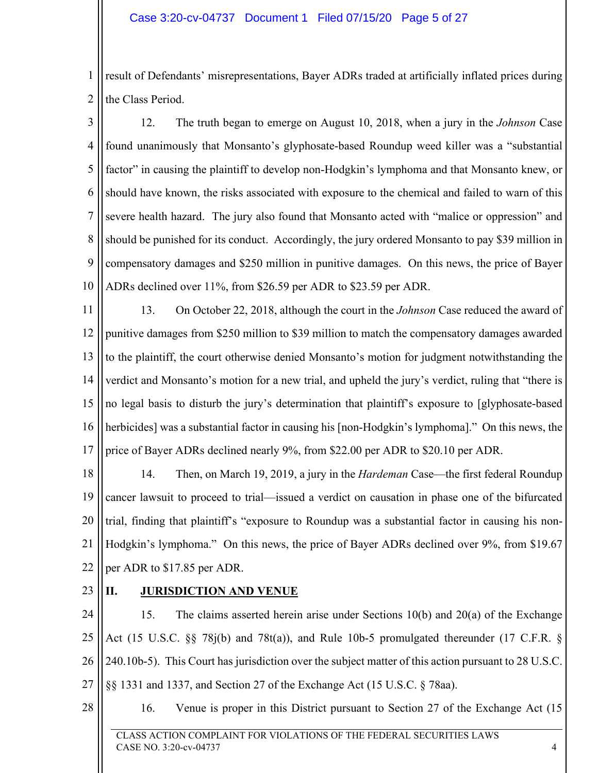1 2 result of Defendants' misrepresentations, Bayer ADRs traded at artificially inflated prices during the Class Period.

3 4 5 6 7 8 9 10 12. The truth began to emerge on August 10, 2018, when a jury in the *Johnson* Case found unanimously that Monsanto's glyphosate-based Roundup weed killer was a "substantial factor" in causing the plaintiff to develop non-Hodgkin's lymphoma and that Monsanto knew, or should have known, the risks associated with exposure to the chemical and failed to warn of this severe health hazard. The jury also found that Monsanto acted with "malice or oppression" and should be punished for its conduct. Accordingly, the jury ordered Monsanto to pay \$39 million in compensatory damages and \$250 million in punitive damages. On this news, the price of Bayer ADRs declined over 11%, from \$26.59 per ADR to \$23.59 per ADR.

11 12 13 14 15 16 17 13. On October 22, 2018, although the court in the *Johnson* Case reduced the award of punitive damages from \$250 million to \$39 million to match the compensatory damages awarded to the plaintiff, the court otherwise denied Monsanto's motion for judgment notwithstanding the verdict and Monsanto's motion for a new trial, and upheld the jury's verdict, ruling that "there is no legal basis to disturb the jury's determination that plaintiff's exposure to [glyphosate-based herbicides] was a substantial factor in causing his [non-Hodgkin's lymphoma]." On this news, the price of Bayer ADRs declined nearly 9%, from \$22.00 per ADR to \$20.10 per ADR.

18 19 20 21 22 14. Then, on March 19, 2019, a jury in the *Hardeman* Case—the first federal Roundup cancer lawsuit to proceed to trial—issued a verdict on causation in phase one of the bifurcated trial, finding that plaintiff's "exposure to Roundup was a substantial factor in causing his non-Hodgkin's lymphoma." On this news, the price of Bayer ADRs declined over 9%, from \$19.67 per ADR to \$17.85 per ADR.

23

## **II. JURISDICTION AND VENUE**

24 25 26 27 15. The claims asserted herein arise under Sections 10(b) and 20(a) of the Exchange Act (15 U.S.C. §§ 78j(b) and 78t(a)), and Rule 10b-5 promulgated thereunder (17 C.F.R. § 240.10b-5). This Court has jurisdiction over the subject matter of this action pursuant to 28 U.S.C. §§ 1331 and 1337, and Section 27 of the Exchange Act (15 U.S.C. § 78aa).

28

16. Venue is proper in this District pursuant to Section 27 of the Exchange Act (15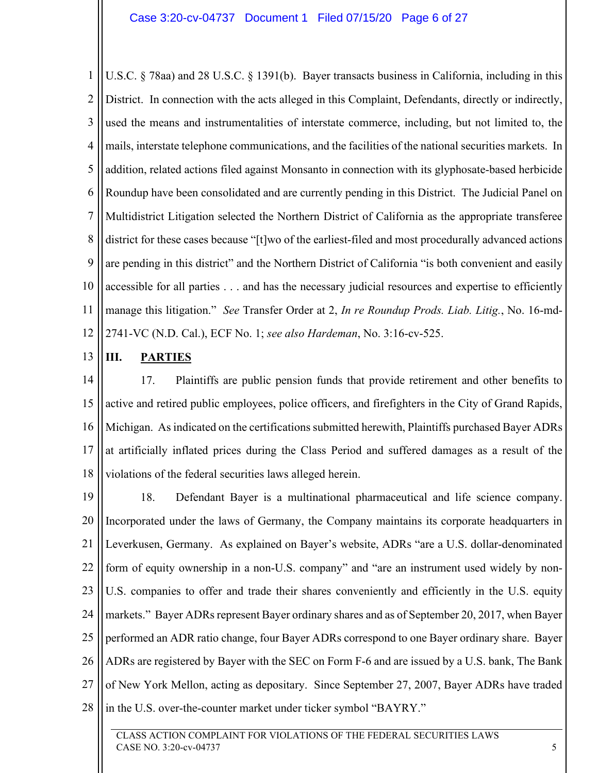1 2 3 4 5 6 7 8 9 10 11 12 U.S.C. § 78aa) and 28 U.S.C. § 1391(b). Bayer transacts business in California, including in this District. In connection with the acts alleged in this Complaint, Defendants, directly or indirectly, used the means and instrumentalities of interstate commerce, including, but not limited to, the mails, interstate telephone communications, and the facilities of the national securities markets. In addition, related actions filed against Monsanto in connection with its glyphosate-based herbicide Roundup have been consolidated and are currently pending in this District. The Judicial Panel on Multidistrict Litigation selected the Northern District of California as the appropriate transferee district for these cases because "[t]wo of the earliest-filed and most procedurally advanced actions are pending in this district" and the Northern District of California "is both convenient and easily accessible for all parties . . . and has the necessary judicial resources and expertise to efficiently manage this litigation." *See* Transfer Order at 2, *In re Roundup Prods. Liab. Litig.*, No. 16-md-2741-VC (N.D. Cal.), ECF No. 1; *see also Hardeman*, No. 3:16-cv-525.

#### 13 **III. PARTIES**

14 15 16 17 18 17. Plaintiffs are public pension funds that provide retirement and other benefits to active and retired public employees, police officers, and firefighters in the City of Grand Rapids, Michigan. As indicated on the certifications submitted herewith, Plaintiffs purchased Bayer ADRs at artificially inflated prices during the Class Period and suffered damages as a result of the violations of the federal securities laws alleged herein.

19 20 21 22 23 24 25 26 27 28 18. Defendant Bayer is a multinational pharmaceutical and life science company. Incorporated under the laws of Germany, the Company maintains its corporate headquarters in Leverkusen, Germany. As explained on Bayer's website, ADRs "are a U.S. dollar-denominated form of equity ownership in a non-U.S. company" and "are an instrument used widely by non-U.S. companies to offer and trade their shares conveniently and efficiently in the U.S. equity markets." Bayer ADRs represent Bayer ordinary shares and as of September 20, 2017, when Bayer performed an ADR ratio change, four Bayer ADRs correspond to one Bayer ordinary share. Bayer ADRs are registered by Bayer with the SEC on Form F-6 and are issued by a U.S. bank, The Bank of New York Mellon, acting as depositary. Since September 27, 2007, Bayer ADRs have traded in the U.S. over-the-counter market under ticker symbol "BAYRY."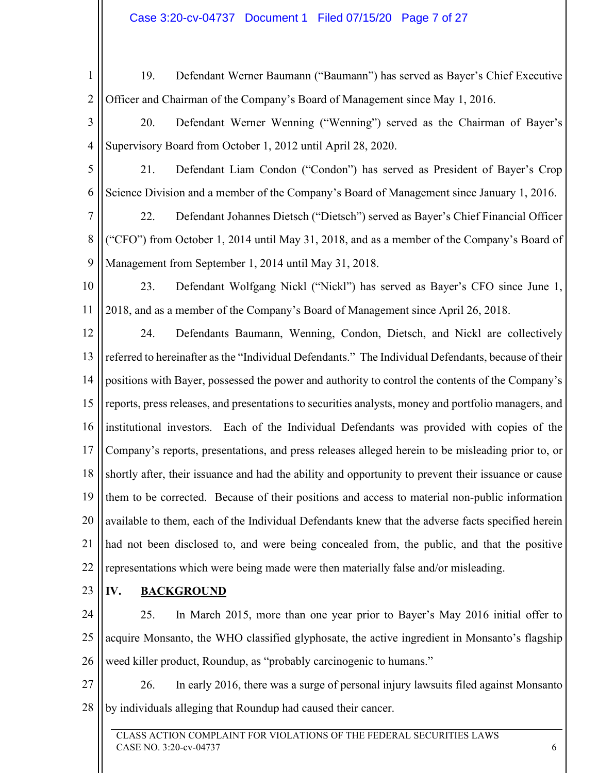1 2 19. Defendant Werner Baumann ("Baumann") has served as Bayer's Chief Executive Officer and Chairman of the Company's Board of Management since May 1, 2016.

3 4 20. Defendant Werner Wenning ("Wenning") served as the Chairman of Bayer's Supervisory Board from October 1, 2012 until April 28, 2020.

5 6 21. Defendant Liam Condon ("Condon") has served as President of Bayer's Crop Science Division and a member of the Company's Board of Management since January 1, 2016.

7 8 9 22. Defendant Johannes Dietsch ("Dietsch") served as Bayer's Chief Financial Officer ("CFO") from October 1, 2014 until May 31, 2018, and as a member of the Company's Board of Management from September 1, 2014 until May 31, 2018.

10 11 23. Defendant Wolfgang Nickl ("Nickl") has served as Bayer's CFO since June 1, 2018, and as a member of the Company's Board of Management since April 26, 2018.

12 13 14 15 16 17 18 19 20 21 22 24. Defendants Baumann, Wenning, Condon, Dietsch, and Nickl are collectively referred to hereinafter as the "Individual Defendants." The Individual Defendants, because of their positions with Bayer, possessed the power and authority to control the contents of the Company's reports, press releases, and presentations to securities analysts, money and portfolio managers, and institutional investors. Each of the Individual Defendants was provided with copies of the Company's reports, presentations, and press releases alleged herein to be misleading prior to, or shortly after, their issuance and had the ability and opportunity to prevent their issuance or cause them to be corrected. Because of their positions and access to material non-public information available to them, each of the Individual Defendants knew that the adverse facts specified herein had not been disclosed to, and were being concealed from, the public, and that the positive representations which were being made were then materially false and/or misleading.

23

# **IV. BACKGROUND**

24 25 26 25. In March 2015, more than one year prior to Bayer's May 2016 initial offer to acquire Monsanto, the WHO classified glyphosate, the active ingredient in Monsanto's flagship weed killer product, Roundup, as "probably carcinogenic to humans."

27 28 26. In early 2016, there was a surge of personal injury lawsuits filed against Monsanto by individuals alleging that Roundup had caused their cancer.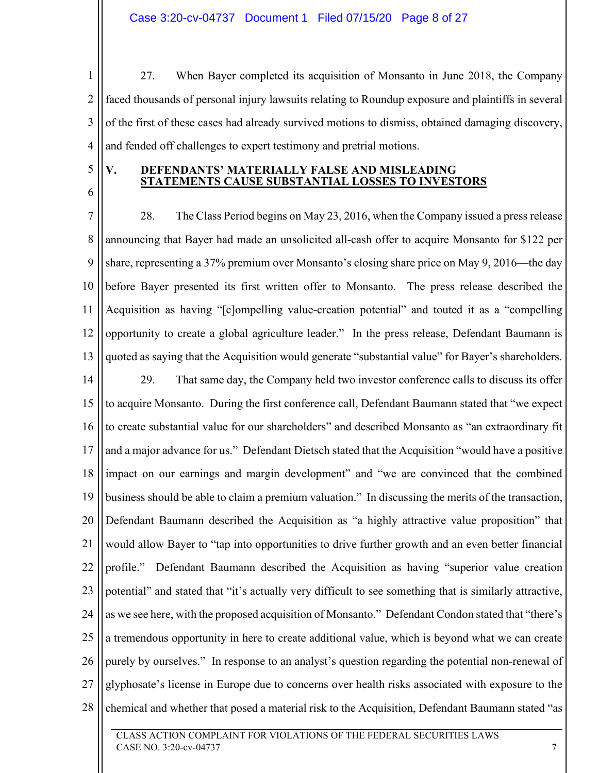1 2 3 4 27. When Bayer completed its acquisition of Monsanto in June 2018, the Company faced thousands of personal injury lawsuits relating to Roundup exposure and plaintiffs in several of the first of these cases had already survived motions to dismiss, obtained damaging discovery, and fended off challenges to expert testimony and pretrial motions.

5

6

## **V. DEFENDANTS' MATERIALLY FALSE AND MISLEADING STATEMENTS CAUSE SUBSTANTIAL LOSSES TO INVESTORS**

7 8 9 10 11 12 13 14 15 16 17 18 19 20 21 22 23 24 25 26 27 28 28. The Class Period begins on May 23, 2016, when the Company issued a press release announcing that Bayer had made an unsolicited all-cash offer to acquire Monsanto for \$122 per share, representing a 37% premium over Monsanto's closing share price on May 9, 2016—the day before Bayer presented its first written offer to Monsanto. The press release described the Acquisition as having "[c]ompelling value-creation potential" and touted it as a "compelling opportunity to create a global agriculture leader." In the press release, Defendant Baumann is quoted as saying that the Acquisition would generate "substantial value" for Bayer's shareholders. 29. That same day, the Company held two investor conference calls to discuss its offer to acquire Monsanto. During the first conference call, Defendant Baumann stated that "we expect to create substantial value for our shareholders" and described Monsanto as "an extraordinary fit and a major advance for us." Defendant Dietsch stated that the Acquisition "would have a positive impact on our earnings and margin development" and "we are convinced that the combined business should be able to claim a premium valuation." In discussing the merits of the transaction, Defendant Baumann described the Acquisition as "a highly attractive value proposition" that would allow Bayer to "tap into opportunities to drive further growth and an even better financial profile." Defendant Baumann described the Acquisition as having "superior value creation potential" and stated that "it's actually very difficult to see something that is similarly attractive, as we see here, with the proposed acquisition of Monsanto." Defendant Condon stated that "there's a tremendous opportunity in here to create additional value, which is beyond what we can create purely by ourselves." In response to an analyst's question regarding the potential non-renewal of glyphosate's license in Europe due to concerns over health risks associated with exposure to the chemical and whether that posed a material risk to the Acquisition, Defendant Baumann stated "as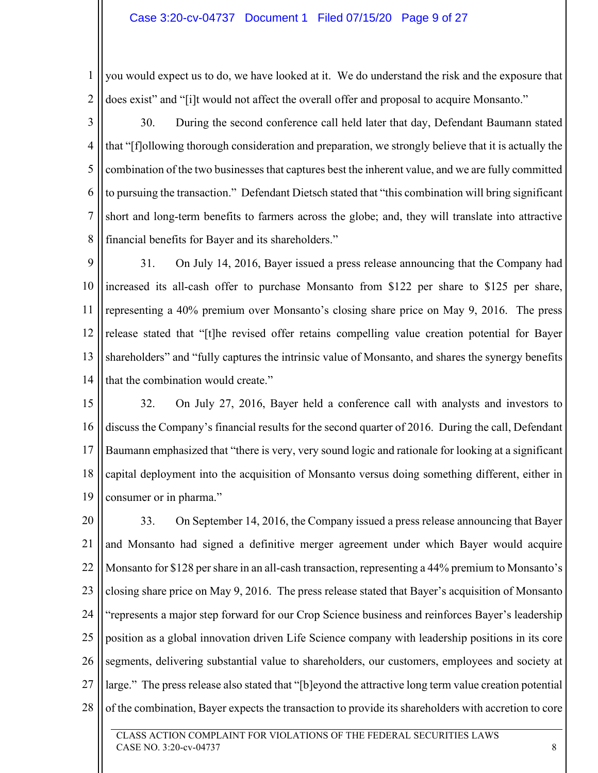### Case 3:20-cv-04737 Document 1 Filed 07/15/20 Page 9 of 27

1 2 you would expect us to do, we have looked at it. We do understand the risk and the exposure that does exist" and "[i]t would not affect the overall offer and proposal to acquire Monsanto."

3 4 5 6 7 8 30. During the second conference call held later that day, Defendant Baumann stated that "[f]ollowing thorough consideration and preparation, we strongly believe that it is actually the combination of the two businesses that captures best the inherent value, and we are fully committed to pursuing the transaction." Defendant Dietsch stated that "this combination will bring significant short and long-term benefits to farmers across the globe; and, they will translate into attractive financial benefits for Bayer and its shareholders."

9 10 11 12 13 14 31. On July 14, 2016, Bayer issued a press release announcing that the Company had increased its all-cash offer to purchase Monsanto from \$122 per share to \$125 per share, representing a 40% premium over Monsanto's closing share price on May 9, 2016. The press release stated that "[t]he revised offer retains compelling value creation potential for Bayer shareholders" and "fully captures the intrinsic value of Monsanto, and shares the synergy benefits that the combination would create."

15 16 17 18 19 32. On July 27, 2016, Bayer held a conference call with analysts and investors to discuss the Company's financial results for the second quarter of 2016. During the call, Defendant Baumann emphasized that "there is very, very sound logic and rationale for looking at a significant capital deployment into the acquisition of Monsanto versus doing something different, either in consumer or in pharma."

20 21 22 23 24 25 26 27 28 33. On September 14, 2016, the Company issued a press release announcing that Bayer and Monsanto had signed a definitive merger agreement under which Bayer would acquire Monsanto for \$128 per share in an all-cash transaction, representing a 44% premium to Monsanto's closing share price on May 9, 2016. The press release stated that Bayer's acquisition of Monsanto "represents a major step forward for our Crop Science business and reinforces Bayer's leadership position as a global innovation driven Life Science company with leadership positions in its core segments, delivering substantial value to shareholders, our customers, employees and society at large." The press release also stated that "[b]eyond the attractive long term value creation potential of the combination, Bayer expects the transaction to provide its shareholders with accretion to core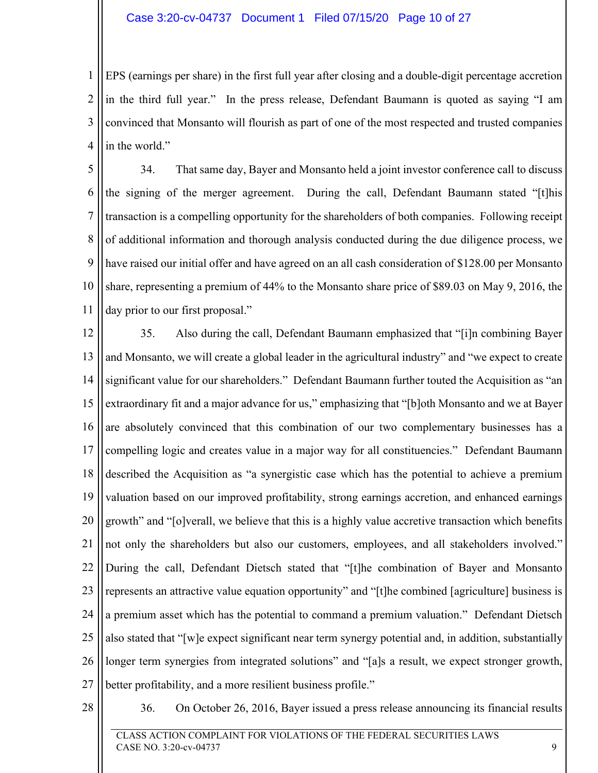### Case 3:20-cv-04737 Document 1 Filed 07/15/20 Page 10 of 27

1 2 3 4 EPS (earnings per share) in the first full year after closing and a double-digit percentage accretion in the third full year." In the press release, Defendant Baumann is quoted as saying "I am convinced that Monsanto will flourish as part of one of the most respected and trusted companies in the world."

5 6 7 8 9 10 11 34. That same day, Bayer and Monsanto held a joint investor conference call to discuss the signing of the merger agreement. During the call, Defendant Baumann stated "[t]his transaction is a compelling opportunity for the shareholders of both companies. Following receipt of additional information and thorough analysis conducted during the due diligence process, we have raised our initial offer and have agreed on an all cash consideration of \$128.00 per Monsanto share, representing a premium of 44% to the Monsanto share price of \$89.03 on May 9, 2016, the day prior to our first proposal."

12 13 14 15 16 17 18 19 20 21 22 23 24 25 26 27 35. Also during the call, Defendant Baumann emphasized that "[i]n combining Bayer and Monsanto, we will create a global leader in the agricultural industry" and "we expect to create significant value for our shareholders." Defendant Baumann further touted the Acquisition as "an extraordinary fit and a major advance for us," emphasizing that "[b]oth Monsanto and we at Bayer are absolutely convinced that this combination of our two complementary businesses has a compelling logic and creates value in a major way for all constituencies." Defendant Baumann described the Acquisition as "a synergistic case which has the potential to achieve a premium valuation based on our improved profitability, strong earnings accretion, and enhanced earnings growth" and "[o]verall, we believe that this is a highly value accretive transaction which benefits not only the shareholders but also our customers, employees, and all stakeholders involved." During the call, Defendant Dietsch stated that "[t]he combination of Bayer and Monsanto represents an attractive value equation opportunity" and "[t]he combined [agriculture] business is a premium asset which has the potential to command a premium valuation." Defendant Dietsch also stated that "[w]e expect significant near term synergy potential and, in addition, substantially longer term synergies from integrated solutions" and "[a]s a result, we expect stronger growth, better profitability, and a more resilient business profile."

28

36. On October 26, 2016, Bayer issued a press release announcing its financial results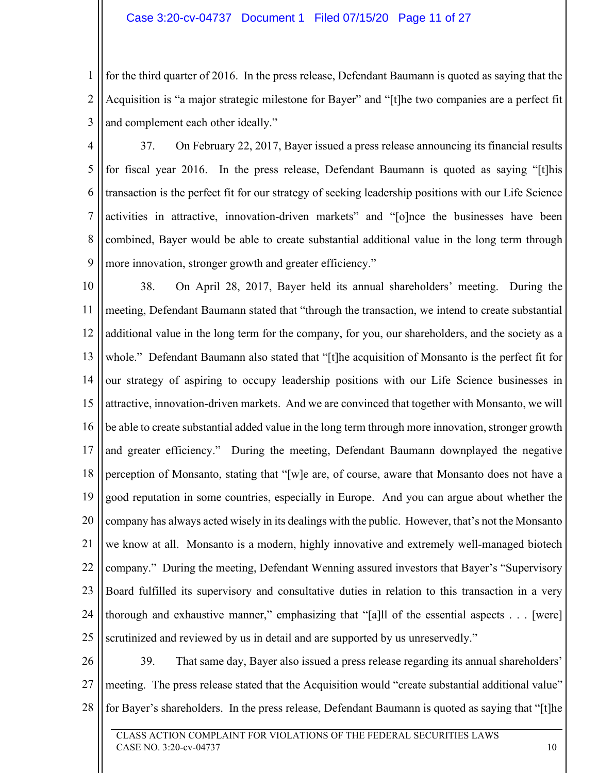## Case 3:20-cv-04737 Document 1 Filed 07/15/20 Page 11 of 27

1 2 3 for the third quarter of 2016. In the press release, Defendant Baumann is quoted as saying that the Acquisition is "a major strategic milestone for Bayer" and "[t]he two companies are a perfect fit and complement each other ideally."

4

5 6 7 8 9 37. On February 22, 2017, Bayer issued a press release announcing its financial results for fiscal year 2016. In the press release, Defendant Baumann is quoted as saying "[t]his transaction is the perfect fit for our strategy of seeking leadership positions with our Life Science activities in attractive, innovation-driven markets" and "[o]nce the businesses have been combined, Bayer would be able to create substantial additional value in the long term through more innovation, stronger growth and greater efficiency."

10 11 12 13 14 15 16 17 18 19 20 21 22 23 24 25 38. On April 28, 2017, Bayer held its annual shareholders' meeting. During the meeting, Defendant Baumann stated that "through the transaction, we intend to create substantial additional value in the long term for the company, for you, our shareholders, and the society as a whole." Defendant Baumann also stated that "[t]he acquisition of Monsanto is the perfect fit for our strategy of aspiring to occupy leadership positions with our Life Science businesses in attractive, innovation-driven markets. And we are convinced that together with Monsanto, we will be able to create substantial added value in the long term through more innovation, stronger growth and greater efficiency." During the meeting, Defendant Baumann downplayed the negative perception of Monsanto, stating that "[w]e are, of course, aware that Monsanto does not have a good reputation in some countries, especially in Europe. And you can argue about whether the company has always acted wisely in its dealings with the public. However, that's not the Monsanto we know at all. Monsanto is a modern, highly innovative and extremely well-managed biotech company." During the meeting, Defendant Wenning assured investors that Bayer's "Supervisory Board fulfilled its supervisory and consultative duties in relation to this transaction in a very thorough and exhaustive manner," emphasizing that "[a]ll of the essential aspects . . . [were] scrutinized and reviewed by us in detail and are supported by us unreservedly."

26 27 28 39. That same day, Bayer also issued a press release regarding its annual shareholders' meeting. The press release stated that the Acquisition would "create substantial additional value" for Bayer's shareholders. In the press release, Defendant Baumann is quoted as saying that "[t]he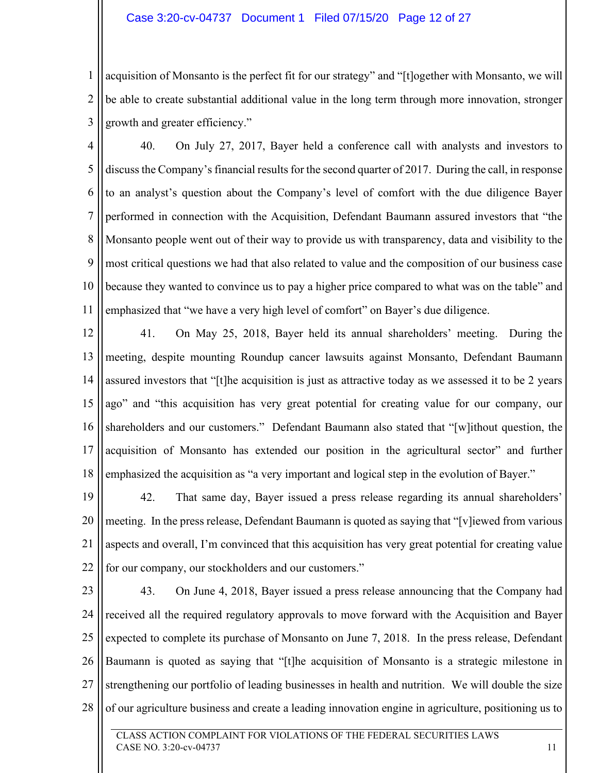### Case 3:20-cv-04737 Document 1 Filed 07/15/20 Page 12 of 27

1 2 3 acquisition of Monsanto is the perfect fit for our strategy" and "[t]ogether with Monsanto, we will be able to create substantial additional value in the long term through more innovation, stronger growth and greater efficiency."

4 5 6 7 8 9 10 11 40. On July 27, 2017, Bayer held a conference call with analysts and investors to discuss the Company's financial results for the second quarter of 2017. During the call, in response to an analyst's question about the Company's level of comfort with the due diligence Bayer performed in connection with the Acquisition, Defendant Baumann assured investors that "the Monsanto people went out of their way to provide us with transparency, data and visibility to the most critical questions we had that also related to value and the composition of our business case because they wanted to convince us to pay a higher price compared to what was on the table" and emphasized that "we have a very high level of comfort" on Bayer's due diligence.

12 13 14 15 16 17 18 41. On May 25, 2018, Bayer held its annual shareholders' meeting. During the meeting, despite mounting Roundup cancer lawsuits against Monsanto, Defendant Baumann assured investors that "[t]he acquisition is just as attractive today as we assessed it to be 2 years ago" and "this acquisition has very great potential for creating value for our company, our shareholders and our customers." Defendant Baumann also stated that "[w]ithout question, the acquisition of Monsanto has extended our position in the agricultural sector" and further emphasized the acquisition as "a very important and logical step in the evolution of Bayer."

19 20 21 22 42. That same day, Bayer issued a press release regarding its annual shareholders' meeting. In the press release, Defendant Baumann is quoted as saying that "[v]iewed from various aspects and overall, I'm convinced that this acquisition has very great potential for creating value for our company, our stockholders and our customers."

23

24 25 26 27 28 43. On June 4, 2018, Bayer issued a press release announcing that the Company had received all the required regulatory approvals to move forward with the Acquisition and Bayer expected to complete its purchase of Monsanto on June 7, 2018. In the press release, Defendant Baumann is quoted as saying that "[t]he acquisition of Monsanto is a strategic milestone in strengthening our portfolio of leading businesses in health and nutrition. We will double the size of our agriculture business and create a leading innovation engine in agriculture, positioning us to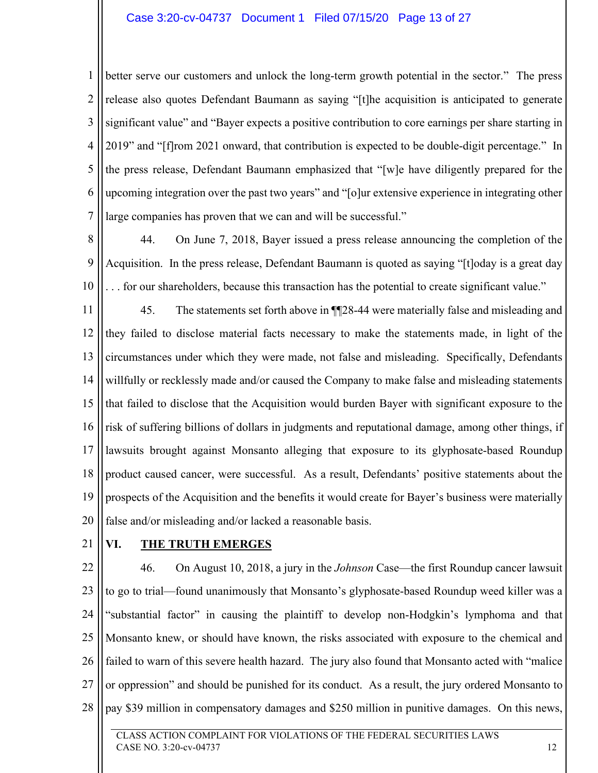## Case 3:20-cv-04737 Document 1 Filed 07/15/20 Page 13 of 27

1 2 3 4 5 6 7 better serve our customers and unlock the long-term growth potential in the sector." The press release also quotes Defendant Baumann as saying "[t]he acquisition is anticipated to generate significant value" and "Bayer expects a positive contribution to core earnings per share starting in 2019" and "[f]rom 2021 onward, that contribution is expected to be double-digit percentage." In the press release, Defendant Baumann emphasized that "[w]e have diligently prepared for the upcoming integration over the past two years" and "[o]ur extensive experience in integrating other large companies has proven that we can and will be successful."

8 9 10 44. On June 7, 2018, Bayer issued a press release announcing the completion of the Acquisition. In the press release, Defendant Baumann is quoted as saying "[t]oday is a great day . . . for our shareholders, because this transaction has the potential to create significant value."

11 12 13 14 15 16 17 18 19 20 45. The statements set forth above in ¶¶28-44 were materially false and misleading and they failed to disclose material facts necessary to make the statements made, in light of the circumstances under which they were made, not false and misleading. Specifically, Defendants willfully or recklessly made and/or caused the Company to make false and misleading statements that failed to disclose that the Acquisition would burden Bayer with significant exposure to the risk of suffering billions of dollars in judgments and reputational damage, among other things, if lawsuits brought against Monsanto alleging that exposure to its glyphosate-based Roundup product caused cancer, were successful. As a result, Defendants' positive statements about the prospects of the Acquisition and the benefits it would create for Bayer's business were materially false and/or misleading and/or lacked a reasonable basis.

21

## **VI. THE TRUTH EMERGES**

22 23 24 25 26 27 28 46. On August 10, 2018, a jury in the *Johnson* Case—the first Roundup cancer lawsuit to go to trial—found unanimously that Monsanto's glyphosate-based Roundup weed killer was a "substantial factor" in causing the plaintiff to develop non-Hodgkin's lymphoma and that Monsanto knew, or should have known, the risks associated with exposure to the chemical and failed to warn of this severe health hazard. The jury also found that Monsanto acted with "malice or oppression" and should be punished for its conduct. As a result, the jury ordered Monsanto to pay \$39 million in compensatory damages and \$250 million in punitive damages. On this news,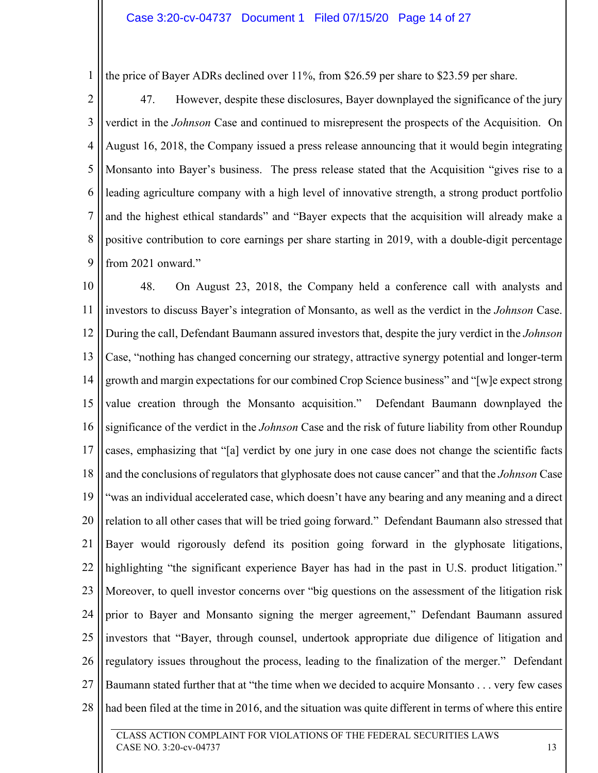1 the price of Bayer ADRs declined over 11%, from \$26.59 per share to \$23.59 per share.

2 3 4 5 6 7 8 9 47. However, despite these disclosures, Bayer downplayed the significance of the jury verdict in the *Johnson* Case and continued to misrepresent the prospects of the Acquisition. On August 16, 2018, the Company issued a press release announcing that it would begin integrating Monsanto into Bayer's business. The press release stated that the Acquisition "gives rise to a leading agriculture company with a high level of innovative strength, a strong product portfolio and the highest ethical standards" and "Bayer expects that the acquisition will already make a positive contribution to core earnings per share starting in 2019, with a double-digit percentage from 2021 onward."

10 11 12 13 14 15 16 17 18 19 20 21 22 23 24 25 26 27 28 48. On August 23, 2018, the Company held a conference call with analysts and investors to discuss Bayer's integration of Monsanto, as well as the verdict in the *Johnson* Case. During the call, Defendant Baumann assured investors that, despite the jury verdict in the *Johnson* Case, "nothing has changed concerning our strategy, attractive synergy potential and longer-term growth and margin expectations for our combined Crop Science business" and "[w]e expect strong value creation through the Monsanto acquisition." Defendant Baumann downplayed the significance of the verdict in the *Johnson* Case and the risk of future liability from other Roundup cases, emphasizing that "[a] verdict by one jury in one case does not change the scientific facts and the conclusions of regulators that glyphosate does not cause cancer" and that the *Johnson* Case "was an individual accelerated case, which doesn't have any bearing and any meaning and a direct relation to all other cases that will be tried going forward." Defendant Baumann also stressed that Bayer would rigorously defend its position going forward in the glyphosate litigations, highlighting "the significant experience Bayer has had in the past in U.S. product litigation." Moreover, to quell investor concerns over "big questions on the assessment of the litigation risk prior to Bayer and Monsanto signing the merger agreement," Defendant Baumann assured investors that "Bayer, through counsel, undertook appropriate due diligence of litigation and regulatory issues throughout the process, leading to the finalization of the merger." Defendant Baumann stated further that at "the time when we decided to acquire Monsanto . . . very few cases had been filed at the time in 2016, and the situation was quite different in terms of where this entire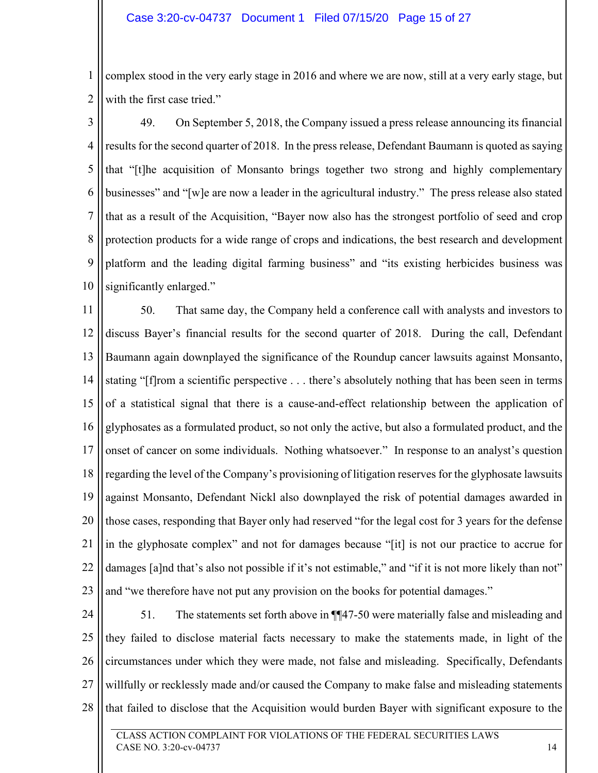1 2 complex stood in the very early stage in 2016 and where we are now, still at a very early stage, but with the first case tried."

3 4 5 6 7 8 9 10 49. On September 5, 2018, the Company issued a press release announcing its financial results for the second quarter of 2018. In the press release, Defendant Baumann is quoted as saying that "[t]he acquisition of Monsanto brings together two strong and highly complementary businesses" and "[w]e are now a leader in the agricultural industry." The press release also stated that as a result of the Acquisition, "Bayer now also has the strongest portfolio of seed and crop protection products for a wide range of crops and indications, the best research and development platform and the leading digital farming business" and "its existing herbicides business was significantly enlarged."

11 12 13 14 15 16 17 18 19 20 21 22 23 50. That same day, the Company held a conference call with analysts and investors to discuss Bayer's financial results for the second quarter of 2018. During the call, Defendant Baumann again downplayed the significance of the Roundup cancer lawsuits against Monsanto, stating "[f]rom a scientific perspective . . . there's absolutely nothing that has been seen in terms of a statistical signal that there is a cause-and-effect relationship between the application of glyphosates as a formulated product, so not only the active, but also a formulated product, and the onset of cancer on some individuals. Nothing whatsoever." In response to an analyst's question regarding the level of the Company's provisioning of litigation reserves for the glyphosate lawsuits against Monsanto, Defendant Nickl also downplayed the risk of potential damages awarded in those cases, responding that Bayer only had reserved "for the legal cost for 3 years for the defense in the glyphosate complex" and not for damages because "[it] is not our practice to accrue for damages [a]nd that's also not possible if it's not estimable," and "if it is not more likely than not" and "we therefore have not put any provision on the books for potential damages."

24 25 26 27 28 51. The statements set forth above in ¶¶47-50 were materially false and misleading and they failed to disclose material facts necessary to make the statements made, in light of the circumstances under which they were made, not false and misleading. Specifically, Defendants willfully or recklessly made and/or caused the Company to make false and misleading statements that failed to disclose that the Acquisition would burden Bayer with significant exposure to the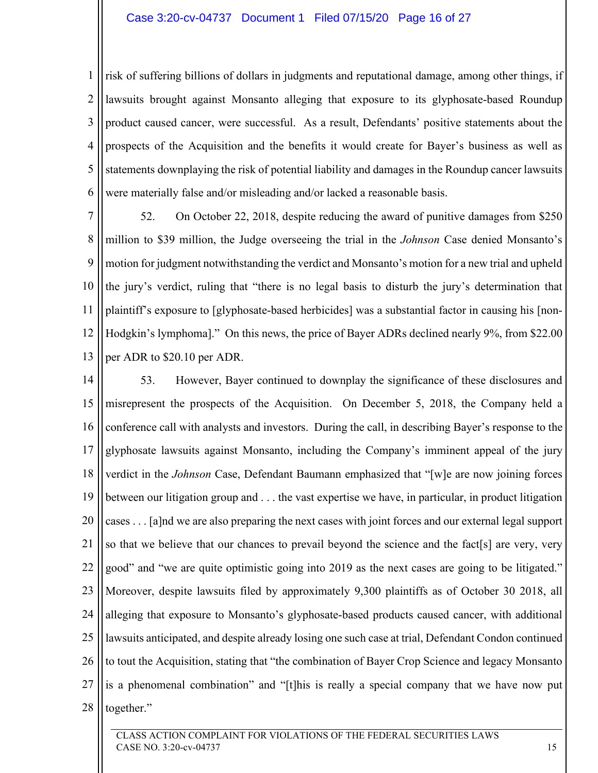#### Case 3:20-cv-04737 Document 1 Filed 07/15/20 Page 16 of 27

1 2 3 4 5 6 risk of suffering billions of dollars in judgments and reputational damage, among other things, if lawsuits brought against Monsanto alleging that exposure to its glyphosate-based Roundup product caused cancer, were successful. As a result, Defendants' positive statements about the prospects of the Acquisition and the benefits it would create for Bayer's business as well as statements downplaying the risk of potential liability and damages in the Roundup cancer lawsuits were materially false and/or misleading and/or lacked a reasonable basis.

7 8 9 10 11 12 13 52. On October 22, 2018, despite reducing the award of punitive damages from \$250 million to \$39 million, the Judge overseeing the trial in the *Johnson* Case denied Monsanto's motion for judgment notwithstanding the verdict and Monsanto's motion for a new trial and upheld the jury's verdict, ruling that "there is no legal basis to disturb the jury's determination that plaintiff's exposure to [glyphosate-based herbicides] was a substantial factor in causing his [non-Hodgkin's lymphoma]." On this news, the price of Bayer ADRs declined nearly 9%, from \$22.00 per ADR to \$20.10 per ADR.

14 15 16 17 18 19 20 21 22 23 24 25 26 27 28 53. However, Bayer continued to downplay the significance of these disclosures and misrepresent the prospects of the Acquisition. On December 5, 2018, the Company held a conference call with analysts and investors. During the call, in describing Bayer's response to the glyphosate lawsuits against Monsanto, including the Company's imminent appeal of the jury verdict in the *Johnson* Case, Defendant Baumann emphasized that "[w]e are now joining forces between our litigation group and . . . the vast expertise we have, in particular, in product litigation cases . . . [a]nd we are also preparing the next cases with joint forces and our external legal support so that we believe that our chances to prevail beyond the science and the fact[s] are very, very good" and "we are quite optimistic going into 2019 as the next cases are going to be litigated." Moreover, despite lawsuits filed by approximately 9,300 plaintiffs as of October 30 2018, all alleging that exposure to Monsanto's glyphosate-based products caused cancer, with additional lawsuits anticipated, and despite already losing one such case at trial, Defendant Condon continued to tout the Acquisition, stating that "the combination of Bayer Crop Science and legacy Monsanto is a phenomenal combination" and "[t]his is really a special company that we have now put together."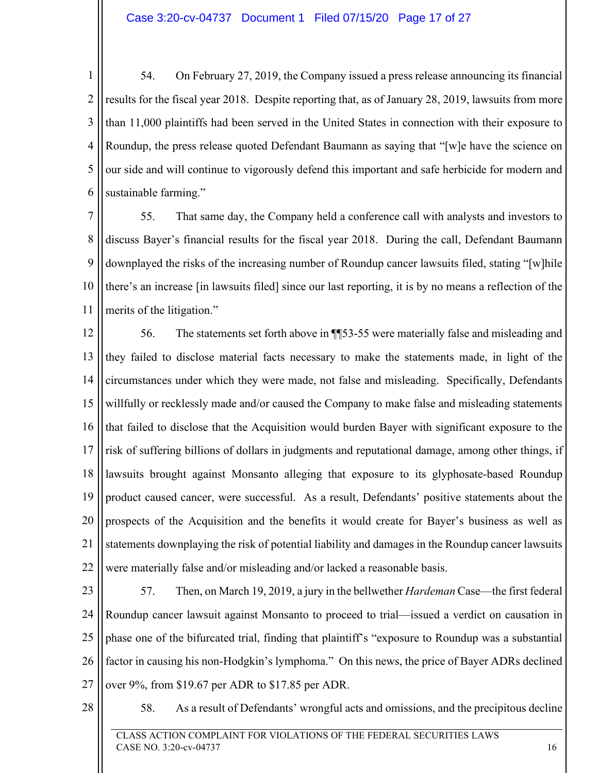1 2 3 4 5 6 54. On February 27, 2019, the Company issued a press release announcing its financial results for the fiscal year 2018. Despite reporting that, as of January 28, 2019, lawsuits from more than 11,000 plaintiffs had been served in the United States in connection with their exposure to Roundup, the press release quoted Defendant Baumann as saying that "[w]e have the science on our side and will continue to vigorously defend this important and safe herbicide for modern and sustainable farming."

7 8 9 10 11 55. That same day, the Company held a conference call with analysts and investors to discuss Bayer's financial results for the fiscal year 2018. During the call, Defendant Baumann downplayed the risks of the increasing number of Roundup cancer lawsuits filed, stating "[w]hile there's an increase [in lawsuits filed] since our last reporting, it is by no means a reflection of the merits of the litigation."

12 13 14 15 16 17 18 19 20 21 22 56. The statements set forth above in ¶¶53-55 were materially false and misleading and they failed to disclose material facts necessary to make the statements made, in light of the circumstances under which they were made, not false and misleading. Specifically, Defendants willfully or recklessly made and/or caused the Company to make false and misleading statements that failed to disclose that the Acquisition would burden Bayer with significant exposure to the risk of suffering billions of dollars in judgments and reputational damage, among other things, if lawsuits brought against Monsanto alleging that exposure to its glyphosate-based Roundup product caused cancer, were successful. As a result, Defendants' positive statements about the prospects of the Acquisition and the benefits it would create for Bayer's business as well as statements downplaying the risk of potential liability and damages in the Roundup cancer lawsuits were materially false and/or misleading and/or lacked a reasonable basis.

23

24 25 26 27 57. Then, on March 19, 2019, a jury in the bellwether *Hardeman* Case—the first federal Roundup cancer lawsuit against Monsanto to proceed to trial—issued a verdict on causation in phase one of the bifurcated trial, finding that plaintiff's "exposure to Roundup was a substantial factor in causing his non-Hodgkin's lymphoma." On this news, the price of Bayer ADRs declined over 9%, from \$19.67 per ADR to \$17.85 per ADR.

28

58. As a result of Defendants' wrongful acts and omissions, and the precipitous decline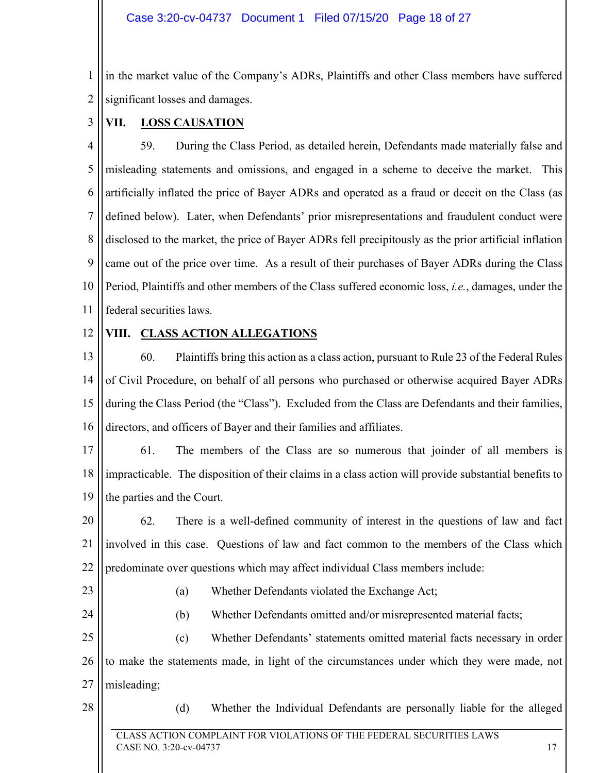1 2 in the market value of the Company's ADRs, Plaintiffs and other Class members have suffered significant losses and damages.

VII. LOSS CAUSATION

4 5 6 7 8 9 10 11 59. During the Class Period, as detailed herein, Defendants made materially false and misleading statements and omissions, and engaged in a scheme to deceive the market. This artificially inflated the price of Bayer ADRs and operated as a fraud or deceit on the Class (as defined below). Later, when Defendants' prior misrepresentations and fraudulent conduct were disclosed to the market, the price of Bayer ADRs fell precipitously as the prior artificial inflation came out of the price over time. As a result of their purchases of Bayer ADRs during the Class Period, Plaintiffs and other members of the Class suffered economic loss, *i.e.*, damages, under the federal securities laws.

12

3

## **VIII. CLASS ACTION ALLEGATIONS**

13 14 15 16 60. Plaintiffs bring this action as a class action, pursuant to Rule 23 of the Federal Rules of Civil Procedure, on behalf of all persons who purchased or otherwise acquired Bayer ADRs during the Class Period (the "Class"). Excluded from the Class are Defendants and their families, directors, and officers of Bayer and their families and affiliates.

17 18 19 61. The members of the Class are so numerous that joinder of all members is impracticable. The disposition of their claims in a class action will provide substantial benefits to the parties and the Court.

20 21 22 62. There is a well-defined community of interest in the questions of law and fact involved in this case. Questions of law and fact common to the members of the Class which predominate over questions which may affect individual Class members include:

23

24

- (a) Whether Defendants violated the Exchange Act;
- (b) Whether Defendants omitted and/or misrepresented material facts;

25 26 27 (c) Whether Defendants' statements omitted material facts necessary in order to make the statements made, in light of the circumstances under which they were made, not misleading;

28

(d) Whether the Individual Defendants are personally liable for the alleged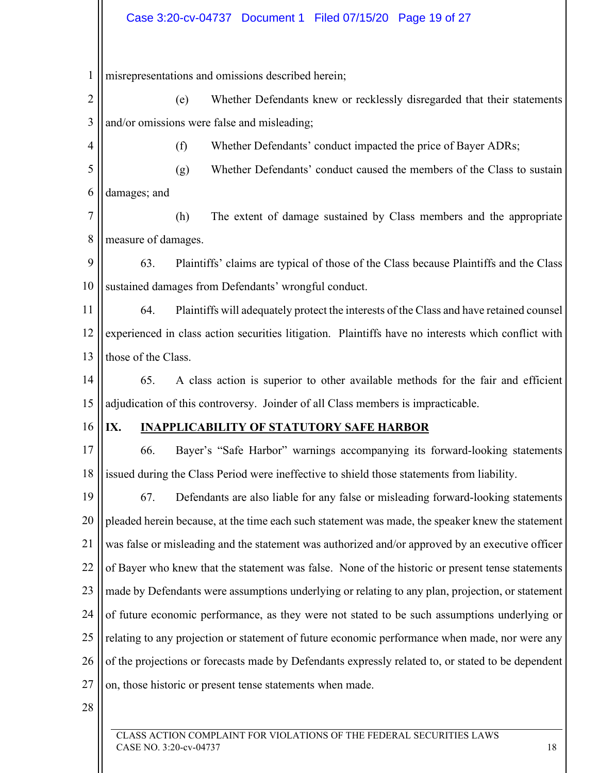1 misrepresentations and omissions described herein;

2 3 (e) Whether Defendants knew or recklessly disregarded that their statements and/or omissions were false and misleading;

(f) Whether Defendants' conduct impacted the price of Bayer ADRs;

5 6 (g) Whether Defendants' conduct caused the members of the Class to sustain damages; and

7 8 (h) The extent of damage sustained by Class members and the appropriate measure of damages.

9 10 63. Plaintiffs' claims are typical of those of the Class because Plaintiffs and the Class sustained damages from Defendants' wrongful conduct.

11 12 13 64. Plaintiffs will adequately protect the interests of the Class and have retained counsel experienced in class action securities litigation. Plaintiffs have no interests which conflict with those of the Class.

14 15 65. A class action is superior to other available methods for the fair and efficient adjudication of this controversy. Joinder of all Class members is impracticable.

## 16

4

## **IX. INAPPLICABILITY OF STATUTORY SAFE HARBOR**

17 18 66. Bayer's "Safe Harbor" warnings accompanying its forward-looking statements issued during the Class Period were ineffective to shield those statements from liability.

19 20 21 22 23 24 25 26 27 67. Defendants are also liable for any false or misleading forward-looking statements pleaded herein because, at the time each such statement was made, the speaker knew the statement was false or misleading and the statement was authorized and/or approved by an executive officer of Bayer who knew that the statement was false. None of the historic or present tense statements made by Defendants were assumptions underlying or relating to any plan, projection, or statement of future economic performance, as they were not stated to be such assumptions underlying or relating to any projection or statement of future economic performance when made, nor were any of the projections or forecasts made by Defendants expressly related to, or stated to be dependent on, those historic or present tense statements when made.

28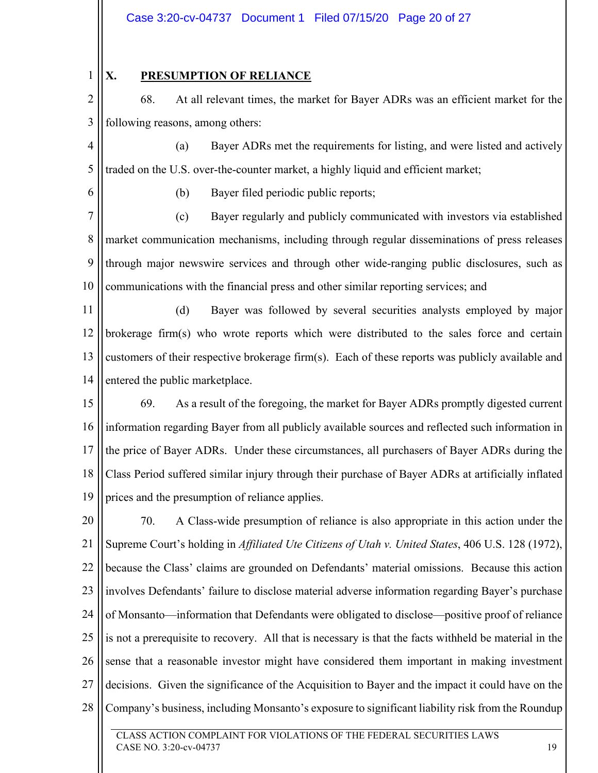## **X. PRESUMPTION OF RELIANCE**

2 3 68. At all relevant times, the market for Bayer ADRs was an efficient market for the following reasons, among others:

4 5 (a) Bayer ADRs met the requirements for listing, and were listed and actively traded on the U.S. over-the-counter market, a highly liquid and efficient market;

6

1

(b) Bayer filed periodic public reports;

7 8 9 10 (c) Bayer regularly and publicly communicated with investors via established market communication mechanisms, including through regular disseminations of press releases through major newswire services and through other wide-ranging public disclosures, such as communications with the financial press and other similar reporting services; and

11 12 13 14 (d) Bayer was followed by several securities analysts employed by major brokerage firm(s) who wrote reports which were distributed to the sales force and certain customers of their respective brokerage firm(s). Each of these reports was publicly available and entered the public marketplace.

15 16 17 18 19 69. As a result of the foregoing, the market for Bayer ADRs promptly digested current information regarding Bayer from all publicly available sources and reflected such information in the price of Bayer ADRs. Under these circumstances, all purchasers of Bayer ADRs during the Class Period suffered similar injury through their purchase of Bayer ADRs at artificially inflated prices and the presumption of reliance applies.

20 21 22 23 24 25 26 27 28 70. A Class-wide presumption of reliance is also appropriate in this action under the Supreme Court's holding in *Affiliated Ute Citizens of Utah v. United States*, 406 U.S. 128 (1972), because the Class' claims are grounded on Defendants' material omissions. Because this action involves Defendants' failure to disclose material adverse information regarding Bayer's purchase of Monsanto—information that Defendants were obligated to disclose—positive proof of reliance is not a prerequisite to recovery. All that is necessary is that the facts withheld be material in the sense that a reasonable investor might have considered them important in making investment decisions. Given the significance of the Acquisition to Bayer and the impact it could have on the Company's business, including Monsanto's exposure to significant liability risk from the Roundup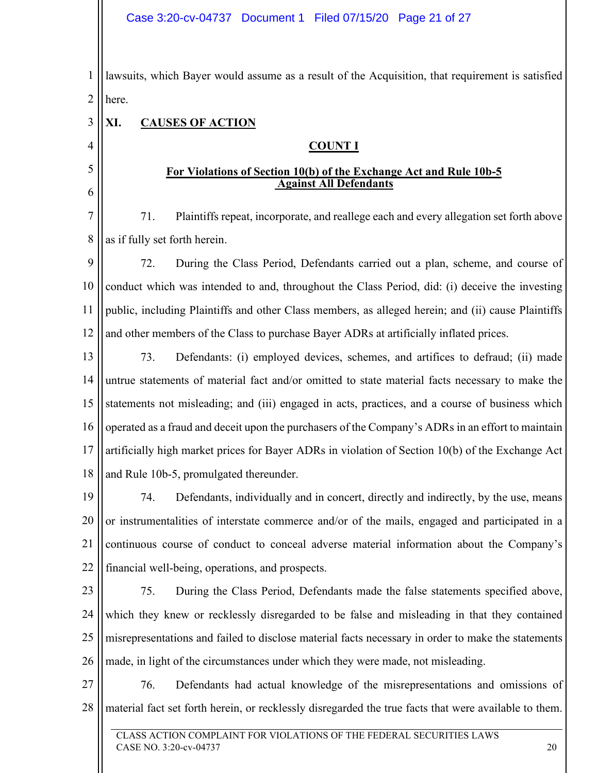1 2 lawsuits, which Bayer would assume as a result of the Acquisition, that requirement is satisfied here.

#### 3 **XI. CAUSES OF ACTION**

4

5

6

## **COUNT I**

### **For Violations of Section 10(b) of the Exchange Act and Rule 10b-5 Against All Defendants**

7 8 71. Plaintiffs repeat, incorporate, and reallege each and every allegation set forth above as if fully set forth herein.

9 10 11 12 72. During the Class Period, Defendants carried out a plan, scheme, and course of conduct which was intended to and, throughout the Class Period, did: (i) deceive the investing public, including Plaintiffs and other Class members, as alleged herein; and (ii) cause Plaintiffs and other members of the Class to purchase Bayer ADRs at artificially inflated prices.

13 14 15 16 17 18 73. Defendants: (i) employed devices, schemes, and artifices to defraud; (ii) made untrue statements of material fact and/or omitted to state material facts necessary to make the statements not misleading; and (iii) engaged in acts, practices, and a course of business which operated as a fraud and deceit upon the purchasers of the Company's ADRs in an effort to maintain artificially high market prices for Bayer ADRs in violation of Section 10(b) of the Exchange Act and Rule 10b-5, promulgated thereunder.

19 20 21 22 74. Defendants, individually and in concert, directly and indirectly, by the use, means or instrumentalities of interstate commerce and/or of the mails, engaged and participated in a continuous course of conduct to conceal adverse material information about the Company's financial well-being, operations, and prospects.

23

24 25 26 75. During the Class Period, Defendants made the false statements specified above, which they knew or recklessly disregarded to be false and misleading in that they contained misrepresentations and failed to disclose material facts necessary in order to make the statements made, in light of the circumstances under which they were made, not misleading.

27 28 76. Defendants had actual knowledge of the misrepresentations and omissions of material fact set forth herein, or recklessly disregarded the true facts that were available to them.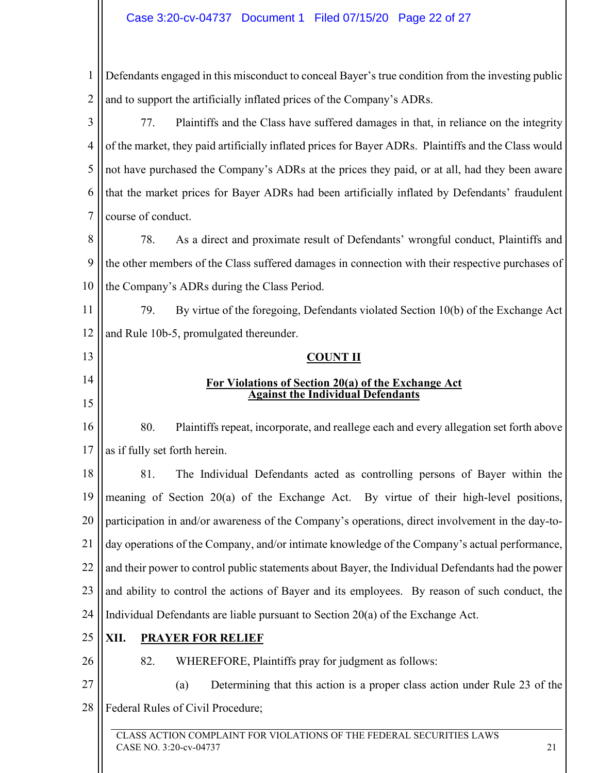## Case 3:20-cv-04737 Document 1 Filed 07/15/20 Page 22 of 27

CLASS ACTION COMPLAINT FOR VIOLATIONS OF THE FEDERAL SECURITIES LAWS 1 2 3 4 5 6 7 8 9 10 11 12 13 14 15 16 17 18 19 20 21 22 23 24 25 26 27 28 Defendants engaged in this misconduct to conceal Bayer's true condition from the investing public and to support the artificially inflated prices of the Company's ADRs. 77. Plaintiffs and the Class have suffered damages in that, in reliance on the integrity of the market, they paid artificially inflated prices for Bayer ADRs. Plaintiffs and the Class would not have purchased the Company's ADRs at the prices they paid, or at all, had they been aware that the market prices for Bayer ADRs had been artificially inflated by Defendants' fraudulent course of conduct. 78. As a direct and proximate result of Defendants' wrongful conduct, Plaintiffs and the other members of the Class suffered damages in connection with their respective purchases of the Company's ADRs during the Class Period. 79. By virtue of the foregoing, Defendants violated Section 10(b) of the Exchange Act and Rule 10b-5, promulgated thereunder. **COUNT II For Violations of Section 20(a) of the Exchange Act Against the Individual Defendants**  80. Plaintiffs repeat, incorporate, and reallege each and every allegation set forth above as if fully set forth herein. 81. The Individual Defendants acted as controlling persons of Bayer within the meaning of Section 20(a) of the Exchange Act. By virtue of their high-level positions, participation in and/or awareness of the Company's operations, direct involvement in the day-today operations of the Company, and/or intimate knowledge of the Company's actual performance, and their power to control public statements about Bayer, the Individual Defendants had the power and ability to control the actions of Bayer and its employees. By reason of such conduct, the Individual Defendants are liable pursuant to Section 20(a) of the Exchange Act. **XII. PRAYER FOR RELIEF**  82. WHEREFORE, Plaintiffs pray for judgment as follows: (a) Determining that this action is a proper class action under Rule 23 of the Federal Rules of Civil Procedure;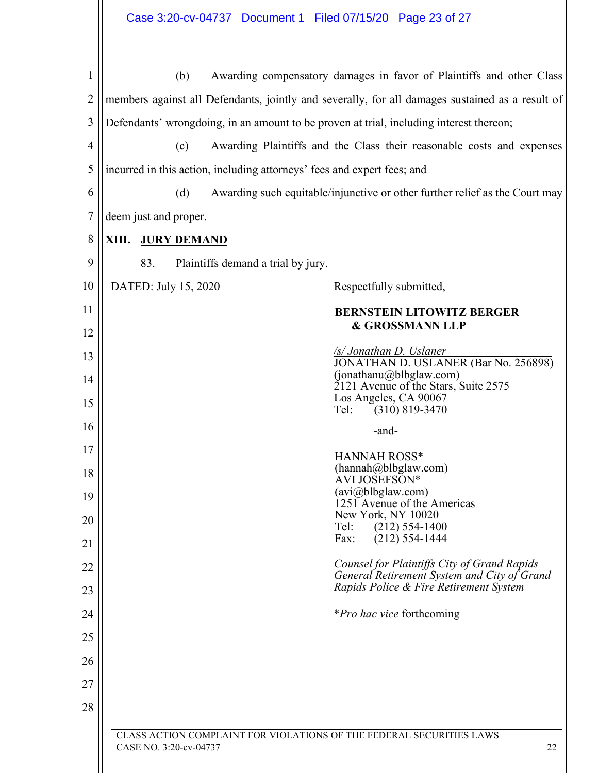| 1              | (b)<br>Awarding compensatory damages in favor of Plaintiffs and other Class                          |  |  |  |  |  |
|----------------|------------------------------------------------------------------------------------------------------|--|--|--|--|--|
| 2              | members against all Defendants, jointly and severally, for all damages sustained as a result of      |  |  |  |  |  |
| 3              | Defendants' wrongdoing, in an amount to be proven at trial, including interest thereon;              |  |  |  |  |  |
| $\overline{4}$ | (c)<br>Awarding Plaintiffs and the Class their reasonable costs and expenses                         |  |  |  |  |  |
| 5              | incurred in this action, including attorneys' fees and expert fees; and                              |  |  |  |  |  |
| 6              | (d)<br>Awarding such equitable/injunctive or other further relief as the Court may                   |  |  |  |  |  |
| $\overline{7}$ | deem just and proper.                                                                                |  |  |  |  |  |
| 8              | XIII.<br><b>JURY DEMAND</b>                                                                          |  |  |  |  |  |
| 9              | 83.<br>Plaintiffs demand a trial by jury.                                                            |  |  |  |  |  |
| 10             | DATED: July 15, 2020<br>Respectfully submitted,                                                      |  |  |  |  |  |
| 11             | <b>BERNSTEIN LITOWITZ BERGER</b>                                                                     |  |  |  |  |  |
| 12             | <b>&amp; GROSSMANN LLP</b>                                                                           |  |  |  |  |  |
| 13             | <u>/s/ Jonathan D. Uslaner</u><br>JONATHAN D. USLANER (Bar No. 256898)                               |  |  |  |  |  |
| 14             | (jonathanu@blbglaw.com)<br>2121 Avenue of the Stars, Suite 2575                                      |  |  |  |  |  |
| 15             | Los Angeles, CA 90067<br>$(310) 819 - 3470$<br>Tel:                                                  |  |  |  |  |  |
| 16             | -and-                                                                                                |  |  |  |  |  |
| 17             | <b>HANNAH ROSS*</b>                                                                                  |  |  |  |  |  |
| 18             | (hannah@blbglaw.com)<br>AVI JOSEFSON*                                                                |  |  |  |  |  |
| 19             | (avi@blbglaw.com)<br>1251 Avenue of the Americas                                                     |  |  |  |  |  |
| 20             | New York, NY 10020<br>Tel:<br>$(212)$ 554-1400                                                       |  |  |  |  |  |
| 21             | $(212)$ 554-1444<br>Fax:                                                                             |  |  |  |  |  |
| 22             | Counsel for Plaintiffs City of Grand Rapids<br>General Retirement System and City of Grand           |  |  |  |  |  |
| 23             | Rapids Police & Fire Retirement System                                                               |  |  |  |  |  |
| 24             | <i>*Pro hac vice</i> forthcoming                                                                     |  |  |  |  |  |
| 25             |                                                                                                      |  |  |  |  |  |
| 26             |                                                                                                      |  |  |  |  |  |
| 27             |                                                                                                      |  |  |  |  |  |
| 28             |                                                                                                      |  |  |  |  |  |
|                | CLASS ACTION COMPLAINT FOR VIOLATIONS OF THE FEDERAL SECURITIES LAWS<br>CASE NO. 3:20-cv-04737<br>22 |  |  |  |  |  |
|                |                                                                                                      |  |  |  |  |  |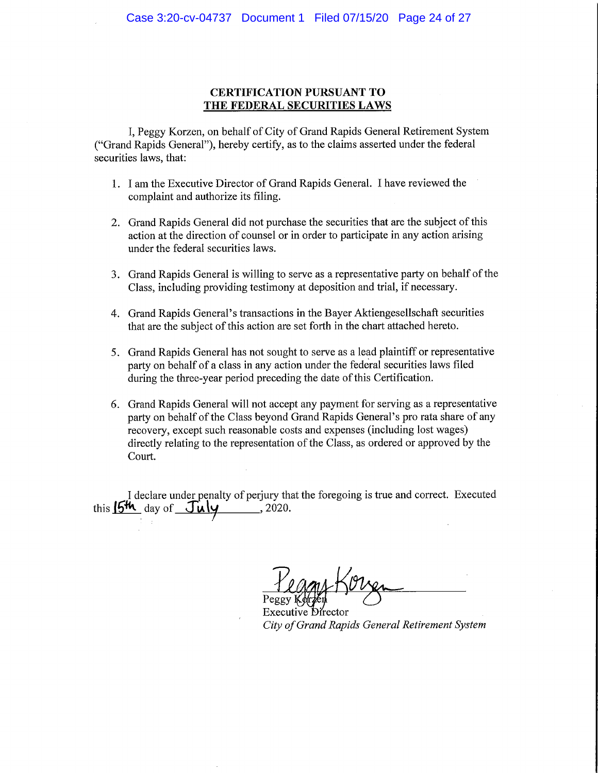#### **CERTIFICATION PURSUANT TO** THE FEDERAL SECURITIES LAWS

I, Peggy Korzen, on behalf of City of Grand Rapids General Retirement System ("Grand Rapids General"), hereby certify, as to the claims asserted under the federal securities laws, that:

- 1. I am the Executive Director of Grand Rapids General. I have reviewed the complaint and authorize its filing.
- 2. Grand Rapids General did not purchase the securities that are the subject of this action at the direction of counsel or in order to participate in any action arising under the federal securities laws.
- 3. Grand Rapids General is willing to serve as a representative party on behalf of the Class, including providing testimony at deposition and trial, if necessary.
- 4. Grand Rapids General's transactions in the Bayer Aktion gesells chaft securities that are the subject of this action are set forth in the chart attached hereto.
- 5. Grand Rapids General has not sought to serve as a lead plaintiff or representative party on behalf of a class in any action under the federal securities laws filed during the three-year period preceding the date of this Certification.
- 6. Grand Rapids General will not accept any payment for serving as a representative party on behalf of the Class beyond Grand Rapids General's pro rata share of any recovery, except such reasonable costs and expenses (including lost wages) directly relating to the representation of the Class, as ordered or approved by the Court.

I declare under penalty of perjury that the foregoing is true and correct. Executed this  $15<sup>th</sup>$  day of  $\overline{Ju}$   $\overline{Ju}$   $\overline{Ju}$ , 2020.

City of Grand Rapids General Retirement System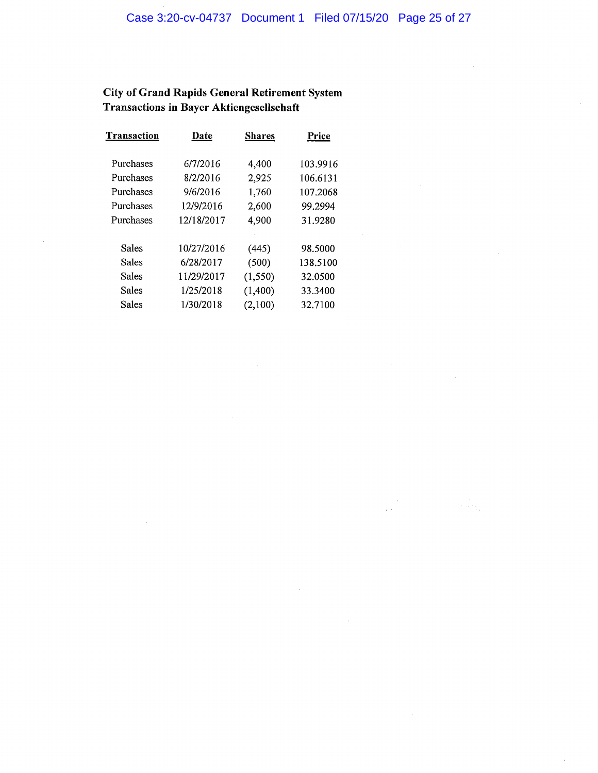$\sim$ 

 $\mathcal{A}$ 

 $\sim 10^7$ 

# **City of Grand Rapids General Retirement System** Transactions in Bayer Aktiengesellschaft

| Transaction | Date       | <b>Shares</b> | Price    |
|-------------|------------|---------------|----------|
| Purchases   | 6/7/2016   | 4,400         | 103.9916 |
| Purchases   | 8/2/2016   | 2,925         | 106.6131 |
| Purchases   | 9/6/2016   | 1,760         | 107.2068 |
| Purchases   | 12/9/2016  | 2,600         | 99.2994  |
| Purchases   | 12/18/2017 | 4,900         | 31.9280  |
|             |            |               |          |
| Sales       | 10/27/2016 | (445)         | 98.5000  |
| Sales       | 6/28/2017  | (500)         | 138.5100 |
| Sales       | 11/29/2017 | (1, 550)      | 32.0500  |
| Sales       | 1/25/2018  | (1,400)       | 33.3400  |
| Sales       | 1/30/2018  | (2,100)       | 32.7100  |

 $\mathcal{A}$ 

 $\bar{L}$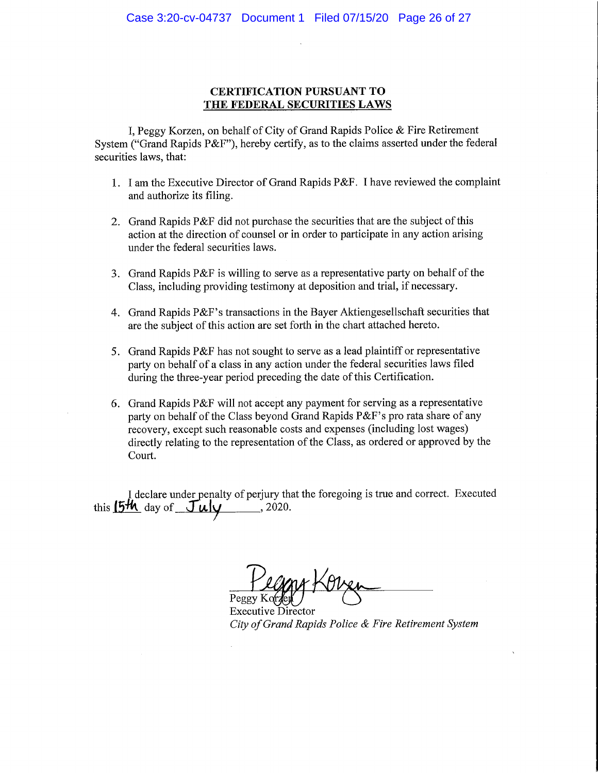### **CERTIFICATION PURSUANT TO** THE FEDERAL SECURITIES LAWS

I, Peggy Korzen, on behalf of City of Grand Rapids Police & Fire Retirement System ("Grand Rapids P&F"), hereby certify, as to the claims asserted under the federal securities laws, that:

- 1. I am the Executive Director of Grand Rapids P&F. I have reviewed the complaint and authorize its filing.
- 2. Grand Rapids P&F did not purchase the securities that are the subject of this action at the direction of counsel or in order to participate in any action arising under the federal securities laws.
- 3. Grand Rapids P&F is willing to serve as a representative party on behalf of the Class, including providing testimony at deposition and trial, if necessary.
- 4. Grand Rapids P&F's transactions in the Bayer Aktionges ells chaft securities that are the subject of this action are set forth in the chart attached hereto.
- 5. Grand Rapids P&F has not sought to serve as a lead plaintiff or representative party on behalf of a class in any action under the federal securities laws filed during the three-year period preceding the date of this Certification.
- 6. Grand Rapids P&F will not accept any payment for serving as a representative party on behalf of the Class beyond Grand Rapids P&F's pro rata share of any recovery, except such reasonable costs and expenses (including lost wages) directly relating to the representation of the Class, as ordered or approved by the Court.

I declare under penalty of perjury that the foregoing is true and correct. Executed this  $15\frac{\text{H}}{\text{H}}$  day of  $\frac{\text{H}}{\text{H}}$  and  $\frac{\text{H}}{\text{H}}$  and  $\frac{\text{H}}{\text{H}}$  and  $\frac{\text{H}}{\text{H}}$  and  $\frac{\text{H}}{\text{H}}$  and  $\frac{\text{H}}{\text{H}}$  and  $\frac{\text{H}}{\text{H}}$  and  $\frac{\text{H}}{\text{H}}$  and  $\frac{\text{H}}{\text{H}}$  and  $\frac{\text{H}}{\text{H}}$  and  $\$ 

**Executive Director** City of Grand Rapids Police & Fire Retirement System